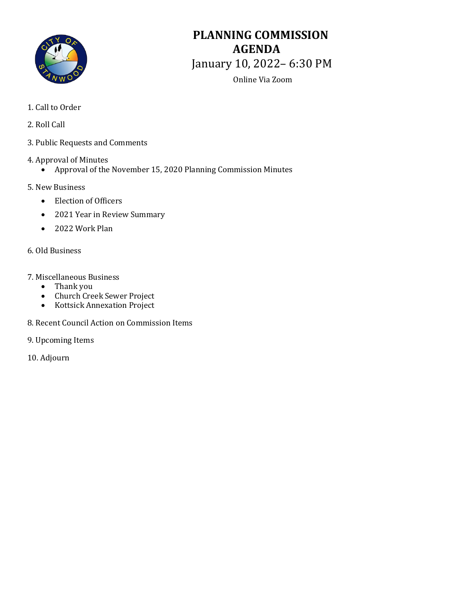

# **PLANNING COMMISSION AGENDA** January 10, 2022– 6:30 PM

Online Via Zoom

- 1. Call to Order
- 2. Roll Call
- 3. Public Requests and Comments
- 4. Approval of Minutes<br>• Approval of the
	- Approval of the November 15, 2020 Planning Commission Minutes
- 5. New Business
	- Election of Officers
	- 2021 Year in Review Summary
	- 2022 Work Plan
- 6. Old Business
- 7. Miscellaneous Business<br>• Thank you
	- Thank you<br>• Church Cre
	- Church Creek Sewer Project<br>• Kottsick Annexation Project
	- Kottsick Annexation Project
- 8. Recent Council Action on Commission Items
- 9. Upcoming Items
- 10. Adjourn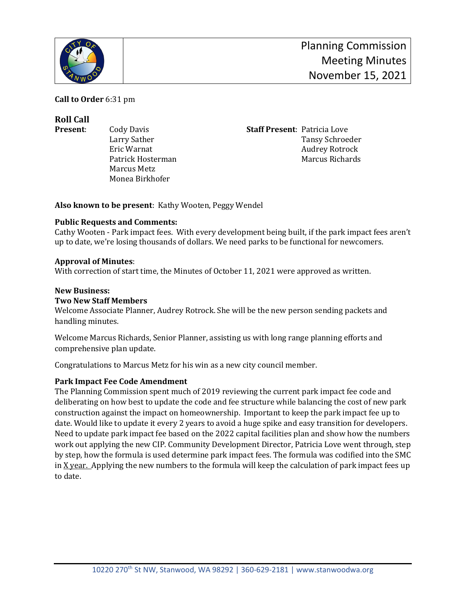

**Call to Order** 6:31 pm

**Roll Call**

Patrick Hosterman Marcus Metz Monea Birkhofer

**Present**: Cody Davis **Staff Present**: Patricia Love Larry Sather Tansy Schroeder<br>Eric Warnat Audrey Rotrock Audrey Rotrock<br>Marcus Richards

**Also known to be present**: Kathy Wooten, Peggy Wendel

## **Public Requests and Comments:**

Cathy Wooten - Park impact fees. With every development being built, if the park impact fees aren't up to date, we're losing thousands of dollars. We need parks to be functional for newcomers.

## **Approval of Minutes**:

With correction of start time, the Minutes of October 11, 2021 were approved as written.

## **New Business:**

## **Two New Staff Members**

Welcome Associate Planner, Audrey Rotrock. She will be the new person sending packets and handling minutes.

Welcome Marcus Richards, Senior Planner, assisting us with long range planning efforts and comprehensive plan update.

Congratulations to Marcus Metz for his win as a new city council member.

## **Park Impact Fee Code Amendment**

The Planning Commission spent much of 2019 reviewing the current park impact fee code and deliberating on how best to update the code and fee structure while balancing the cost of new park construction against the impact on homeownership. Important to keep the park impact fee up to date. Would like to update it every 2 years to avoid a huge spike and easy transition for developers. Need to update park impact fee based on the 2022 capital facilities plan and show how the numbers work out applying the new CIP. Community Development Director, Patricia Love went through, step by step, how the formula is used determine park impact fees. The formula was codified into the SMC in X year. Applying the new numbers to the formula will keep the calculation of park impact fees up to date.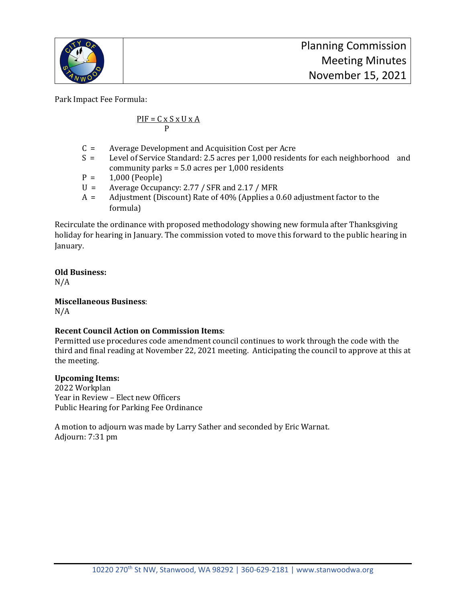

Park Impact Fee Formula:

$$
\frac{PIF = C \times S \times U \times A}{P}
$$

- C = Average Development and Acquisition Cost per Acre<br>S = Level of Service Standard: 2.5 acres per 1.000 resider
- Level of Service Standard: 2.5 acres per 1,000 residents for each neighborhood and community parks = 5.0 acres per 1,000 residents
- $P = 1,000$  (People)<br>U = Average Occupa
- $U =$  Average Occupancy: 2.77 / SFR and 2.17 / MFR<br> $A =$  Adiustment (Discount) Rate of 40% (Applies a 0
- Adjustment (Discount) Rate of 40% (Applies a 0.60 adjustment factor to the formula)

Recirculate the ordinance with proposed methodology showing new formula after Thanksgiving holiday for hearing in January. The commission voted to move this forward to the public hearing in January.

## **Old Business:**

N/A

**Miscellaneous Business**:

N/A

## **Recent Council Action on Commission Items**:

Permitted use procedures code amendment council continues to work through the code with the third and final reading at November 22, 2021 meeting. Anticipating the council to approve at this at the meeting.

## **Upcoming Items:**

2022 Workplan Year in Review – Elect new Officers Public Hearing for Parking Fee Ordinance

A motion to adjourn was made by Larry Sather and seconded by Eric Warnat. Adjourn: 7:31 pm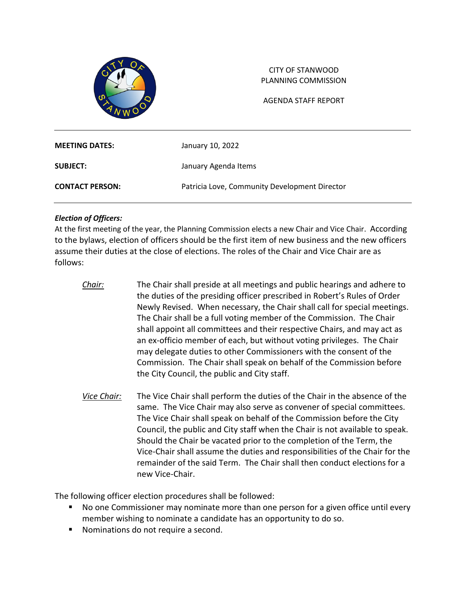

## CITY OF STANWOOD PLANNING COMMISSION

AGENDA STAFF REPORT

| <b>MEETING DATES:</b>  | January 10, 2022                              |
|------------------------|-----------------------------------------------|
| <b>SUBJECT:</b>        | January Agenda Items                          |
| <b>CONTACT PERSON:</b> | Patricia Love, Community Development Director |

## *Election of Officers:*

At the first meeting of the year, the Planning Commission elects a new Chair and Vice Chair. According to the bylaws, election of officers should be the first item of new business and the new officers assume their duties at the close of elections. The roles of the Chair and Vice Chair are as follows:

- *Chair:* The Chair shall preside at all meetings and public hearings and adhere to the duties of the presiding officer prescribed in Robert's Rules of Order Newly Revised. When necessary, the Chair shall call for special meetings. The Chair shall be a full voting member of the Commission. The Chair shall appoint all committees and their respective Chairs, and may act as an ex-officio member of each, but without voting privileges. The Chair may delegate duties to other Commissioners with the consent of the Commission. The Chair shall speak on behalf of the Commission before the City Council, the public and City staff.
- *Vice Chair:* The Vice Chair shall perform the duties of the Chair in the absence of the same. The Vice Chair may also serve as convener of special committees. The Vice Chair shall speak on behalf of the Commission before the City Council, the public and City staff when the Chair is not available to speak. Should the Chair be vacated prior to the completion of the Term, the Vice-Chair shall assume the duties and responsibilities of the Chair for the remainder of the said Term. The Chair shall then conduct elections for a new Vice-Chair.

The following officer election procedures shall be followed:

- No one Commissioner may nominate more than one person for a given office until every member wishing to nominate a candidate has an opportunity to do so.
- **Nominations do not require a second.**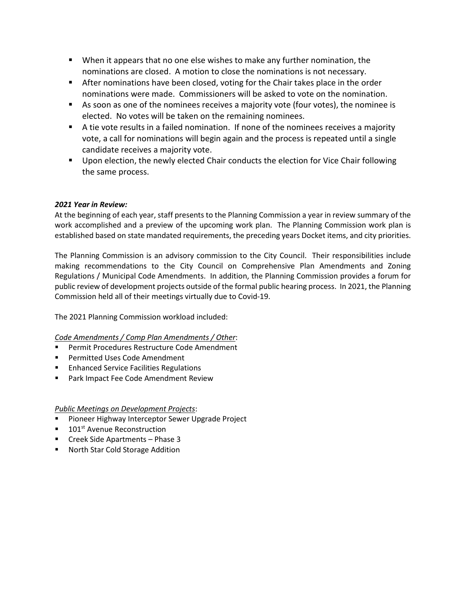- When it appears that no one else wishes to make any further nomination, the nominations are closed. A motion to close the nominations is not necessary.
- After nominations have been closed, voting for the Chair takes place in the order nominations were made. Commissioners will be asked to vote on the nomination.
- As soon as one of the nominees receives a majority vote (four votes), the nominee is elected. No votes will be taken on the remaining nominees.
- A tie vote results in a failed nomination. If none of the nominees receives a majority vote, a call for nominations will begin again and the process is repeated until a single candidate receives a majority vote.
- **Upon election, the newly elected Chair conducts the election for Vice Chair following** the same process.

## *2021 Year in Review:*

At the beginning of each year, staff presents to the Planning Commission a year in review summary of the work accomplished and a preview of the upcoming work plan. The Planning Commission work plan is established based on state mandated requirements, the preceding years Docket items, and city priorities.

The Planning Commission is an advisory commission to the City Council. Their responsibilities include making recommendations to the City Council on Comprehensive Plan Amendments and Zoning Regulations / Municipal Code Amendments. In addition, the Planning Commission provides a forum for public review of development projects outside of the formal public hearing process. In 2021, the Planning Commission held all of their meetings virtually due to Covid-19.

The 2021 Planning Commission workload included:

## *Code Amendments / Comp Plan Amendments / Other*:

- Permit Procedures Restructure Code Amendment
- **Permitted Uses Code Amendment**
- **Enhanced Service Facilities Regulations**
- **Park Impact Fee Code Amendment Review**

*Public Meetings on Development Projects*:

- **Pioneer Highway Interceptor Sewer Upgrade Project**
- 101<sup>st</sup> Avenue Reconstruction
- **F** Creek Side Apartments Phase 3
- **North Star Cold Storage Addition**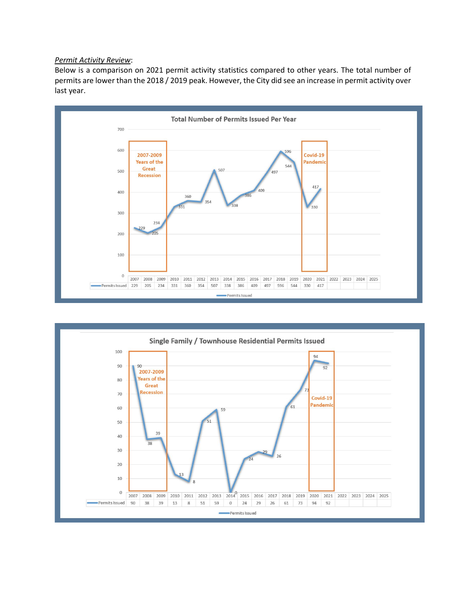#### *Permit Activity Review*:

Below is a comparison on 2021 permit activity statistics compared to other years. The total number of permits are lower than the 2018 / 2019 peak. However, the City did see an increase in permit activity over last year.



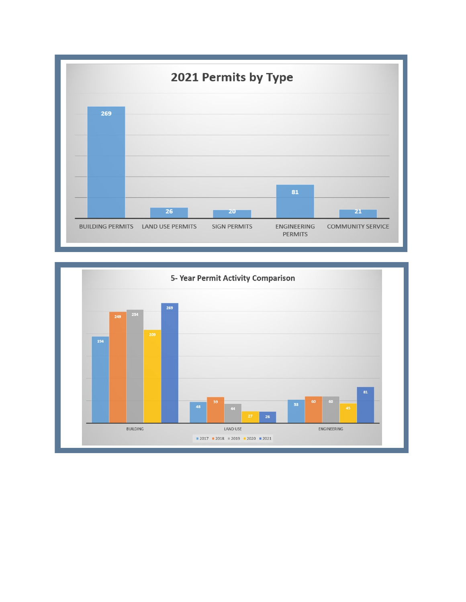

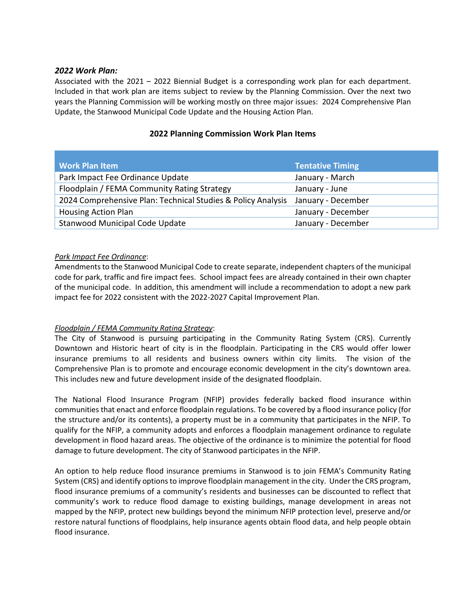## *2022 Work Plan:*

Associated with the 2021 – 2022 Biennial Budget is a corresponding work plan for each department. Included in that work plan are items subject to review by the Planning Commission. Over the next two years the Planning Commission will be working mostly on three major issues: 2024 Comprehensive Plan Update, the Stanwood Municipal Code Update and the Housing Action Plan.

## **Work Plan Item Tentative Timing** Park Impact Fee Ordinance Update Van American Manuary - March Floodplain / FEMA Community Rating Strategy The Muslim January - June 2024 Comprehensive Plan: Technical Studies & Policy Analysis January - December Housing Action Plan January - December Stanwood Municipal Code Update January - December

## **2022 Planning Commission Work Plan Items**

## *Park Impact Fee Ordinance*:

Amendments to the Stanwood Municipal Code to create separate, independent chapters of the municipal code for park, traffic and fire impact fees. School impact fees are already contained in their own chapter of the municipal code. In addition, this amendment will include a recommendation to adopt a new park impact fee for 2022 consistent with the 2022-2027 Capital Improvement Plan.

## *Floodplain / FEMA Community Rating Strategy*:

The City of Stanwood is pursuing participating in the Community Rating System (CRS). Currently Downtown and Historic heart of city is in the floodplain. Participating in the CRS would offer lower insurance premiums to all residents and business owners within city limits. The vision of the Comprehensive Plan is to promote and encourage economic development in the city's downtown area. This includes new and future development inside of the designated floodplain.

The National Flood Insurance Program (NFIP) provides federally backed flood insurance within communities that enact and enforce floodplain regulations. To be covered by a flood insurance policy (for the structure and/or its contents), a property must be in a community that participates in the NFIP. To qualify for the NFIP, a community adopts and enforces a floodplain management ordinance to regulate development in flood hazard areas. The objective of the ordinance is to minimize the potential for flood damage to future development. The city of Stanwood participates in the NFIP.

An option to help reduce flood insurance premiums in Stanwood is to join FEMA's Community Rating System (CRS) and identify options to improve floodplain management in the city. Under the CRS program, flood insurance premiums of a community's residents and businesses can be discounted to reflect that community's work to reduce flood damage to existing buildings, manage development in areas not mapped by the NFIP, protect new buildings beyond the minimum NFIP protection level, preserve and/or restore natural functions of floodplains, help insurance agents obtain flood data, and help people obtain flood insurance.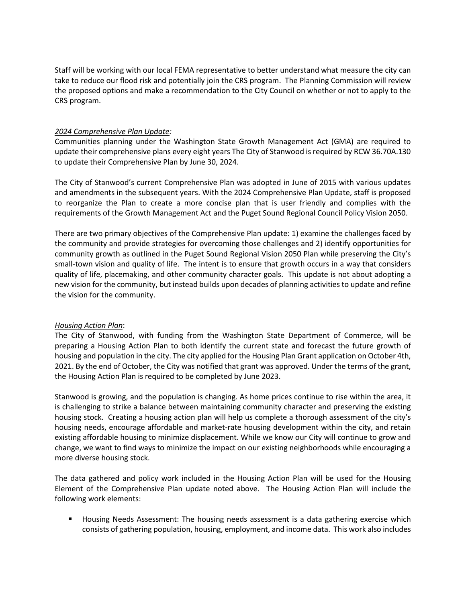Staff will be working with our local FEMA representative to better understand what measure the city can take to reduce our flood risk and potentially join the CRS program. The Planning Commission will review the proposed options and make a recommendation to the City Council on whether or not to apply to the CRS program.

#### *2024 Comprehensive Plan Update:*

Communities planning under the Washington State Growth Management Act (GMA) are required to update their comprehensive plans every eight years The City of Stanwood is required by RCW 36.70A.130 to update their Comprehensive Plan by June 30, 2024.

The City of Stanwood's current Comprehensive Plan was adopted in June of 2015 with various updates and amendments in the subsequent years. With the 2024 Comprehensive Plan Update, staff is proposed to reorganize the Plan to create a more concise plan that is user friendly and complies with the requirements of the Growth Management Act and the Puget Sound Regional Council Policy Vision 2050.

There are two primary objectives of the Comprehensive Plan update: 1) examine the challenges faced by the community and provide strategies for overcoming those challenges and 2) identify opportunities for community growth as outlined in the Puget Sound Regional Vision 2050 Plan while preserving the City's small-town vision and quality of life. The intent is to ensure that growth occurs in a way that considers quality of life, placemaking, and other community character goals. This update is not about adopting a new vision for the community, but instead builds upon decades of planning activities to update and refine the vision for the community.

#### *Housing Action Plan*:

The City of Stanwood, with funding from the Washington State Department of Commerce, will be preparing a Housing Action Plan to both identify the current state and forecast the future growth of housing and population in the city. The city applied for the Housing Plan Grant application on October 4th, 2021. By the end of October, the City was notified that grant was approved. Under the terms of the grant, the Housing Action Plan is required to be completed by June 2023.

Stanwood is growing, and the population is changing. As home prices continue to rise within the area, it is challenging to strike a balance between maintaining community character and preserving the existing housing stock. Creating a housing action plan will help us complete a thorough assessment of the city's housing needs, encourage affordable and market-rate housing development within the city, and retain existing affordable housing to minimize displacement. While we know our City will continue to grow and change, we want to find ways to minimize the impact on our existing neighborhoods while encouraging a more diverse housing stock.

The data gathered and policy work included in the Housing Action Plan will be used for the Housing Element of the Comprehensive Plan update noted above. The Housing Action Plan will include the following work elements:

**Housing Needs Assessment: The housing needs assessment is a data gathering exercise which** consists of gathering population, housing, employment, and income data. This work also includes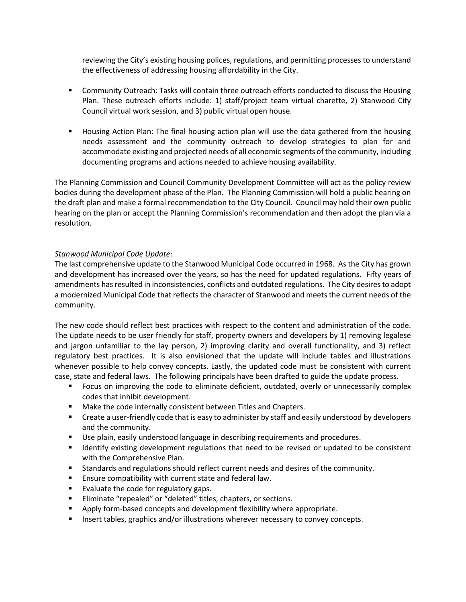reviewing the City's existing housing polices, regulations, and permitting processes to understand the effectiveness of addressing housing affordability in the City.

- **Community Outreach: Tasks will contain three outreach efforts conducted to discuss the Housing** Plan. These outreach efforts include: 1) staff/project team virtual charette, 2) Stanwood City Council virtual work session, and 3) public virtual open house.
- **H** Housing Action Plan: The final housing action plan will use the data gathered from the housing needs assessment and the community outreach to develop strategies to plan for and accommodate existing and projected needs of all economic segments of the community, including documenting programs and actions needed to achieve housing availability.

The Planning Commission and Council Community Development Committee will act as the policy review bodies during the development phase of the Plan. The Planning Commission will hold a public hearing on the draft plan and make a formal recommendation to the City Council. Council may hold their own public hearing on the plan or accept the Planning Commission's recommendation and then adopt the plan via a resolution.

## *Stanwood Municipal Code Update*:

The last comprehensive update to the Stanwood Municipal Code occurred in 1968. As the City has grown and development has increased over the years, so has the need for updated regulations. Fifty years of amendments has resulted in inconsistencies, conflicts and outdated regulations. The City desires to adopt a modernized Municipal Code that reflects the character of Stanwood and meets the current needs of the community.

The new code should reflect best practices with respect to the content and administration of the code. The update needs to be user friendly for staff, property owners and developers by 1) removing legalese and jargon unfamiliar to the lay person, 2) improving clarity and overall functionality, and 3) reflect regulatory best practices. It is also envisioned that the update will include tables and illustrations whenever possible to help convey concepts. Lastly, the updated code must be consistent with current case, state and federal laws. The following principals have been drafted to guide the update process.

- **F** Focus on improving the code to eliminate deficient, outdated, overly or unnecessarily complex codes that inhibit development.
- **Make the code internally consistent between Titles and Chapters.**
- **EXECT** Create a user-friendly code that is easy to administer by staff and easily understood by developers and the community.
- Use plain, easily understood language in describing requirements and procedures.
- **If I**dentify existing development regulations that need to be revised or updated to be consistent with the Comprehensive Plan.
- Standards and regulations should reflect current needs and desires of the community.
- **Ensure compatibility with current state and federal law.**
- **Evaluate the code for regulatory gaps.**
- **Eliminate "repealed" or "deleted" titles, chapters, or sections.**
- Apply form-based concepts and development flexibility where appropriate.
- **Insert tables, graphics and/or illustrations wherever necessary to convey concepts.**